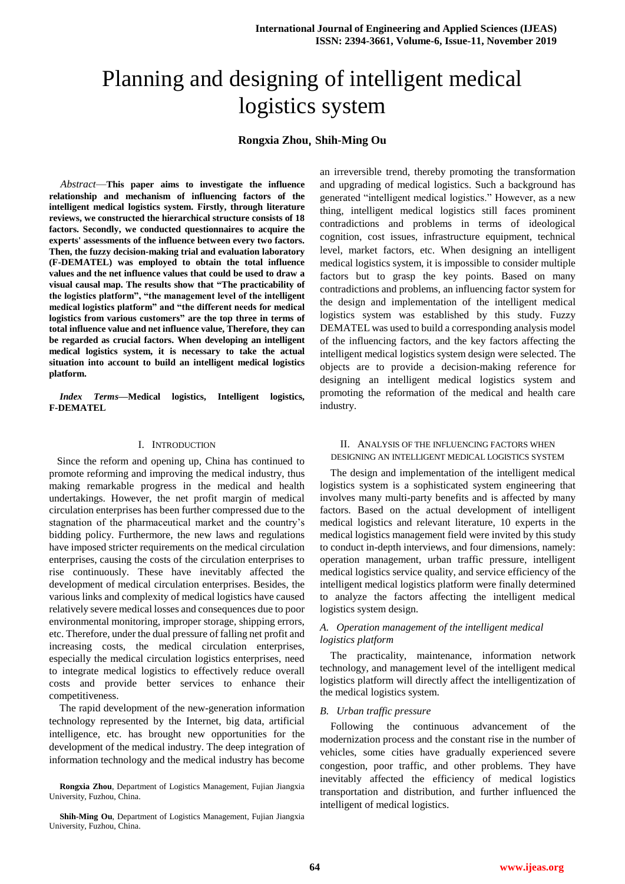# Planning and designing of intelligent medical logistics system

# **Rongxia Zhou**, **Shih-Ming Ou**

*Abstract*—**This paper aims to investigate the influence relationship and mechanism of influencing factors of the intelligent medical logistics system. Firstly, through literature reviews, we constructed the hierarchical structure consists of 18 factors. Secondly, we conducted questionnaires to acquire the experts' assessments of the influence between every two factors. Then, the fuzzy decision-making trial and evaluation laboratory (F-DEMATEL) was employed to obtain the total influence values and the net influence values that could be used to draw a visual causal map. The results show that "The practicability of the logistics platform", "the management level of the intelligent medical logistics platform" and "the different needs for medical logistics from various customers" are the top three in terms of total influence value and net influence value, Therefore, they can be regarded as crucial factors. When developing an intelligent medical logistics system, it is necessary to take the actual situation into account to build an intelligent medical logistics platform.**

*Index Terms***—Medical logistics, Intelligent logistics, F-DEMATEL**

## I. INTRODUCTION

 Since the reform and opening up, China has continued to promote reforming and improving the medical industry, thus making remarkable progress in the medical and health undertakings. However, the net profit margin of medical circulation enterprises has been further compressed due to the stagnation of the pharmaceutical market and the country's bidding policy. Furthermore, the new laws and regulations have imposed stricter requirements on the medical circulation enterprises, causing the costs of the circulation enterprises to rise continuously. These have inevitably affected the development of medical circulation enterprises. Besides, the various links and complexity of medical logistics have caused relatively severe medical losses and consequences due to poor environmental monitoring, improper storage, shipping errors, etc. Therefore, under the dual pressure of falling net profit and increasing costs, the medical circulation enterprises, especially the medical circulation logistics enterprises, need to integrate medical logistics to effectively reduce overall costs and provide better services to enhance their competitiveness.

The rapid development of the new-generation information technology represented by the Internet, big data, artificial intelligence, etc. has brought new opportunities for the development of the medical industry. The deep integration of information technology and the medical industry has become

**Rongxia Zhou**, Department of Logistics Management, Fujian Jiangxia University, Fuzhou, China.

**Shih-Ming Ou**, Department of Logistics Management, Fujian Jiangxia University, Fuzhou, China.

an irreversible trend, thereby promoting the transformation and upgrading of medical logistics. Such a background has generated "intelligent medical logistics." However, as a new thing, intelligent medical logistics still faces prominent contradictions and problems in terms of ideological cognition, cost issues, infrastructure equipment, technical level, market factors, etc. When designing an intelligent medical logistics system, it is impossible to consider multiple factors but to grasp the key points. Based on many contradictions and problems, an influencing factor system for the design and implementation of the intelligent medical logistics system was established by this study. Fuzzy DEMATEL was used to build a corresponding analysis model of the influencing factors, and the key factors affecting the intelligent medical logistics system design were selected. The objects are to provide a decision-making reference for designing an intelligent medical logistics system and promoting the reformation of the medical and health care industry.

### II. ANALYSIS OF THE INFLUENCING FACTORS WHEN DESIGNING AN INTELLIGENT MEDICAL LOGISTICS SYSTEM

The design and implementation of the intelligent medical logistics system is a sophisticated system engineering that involves many multi-party benefits and is affected by many factors. Based on the actual development of intelligent medical logistics and relevant literature, 10 experts in the medical logistics management field were invited by this study to conduct in-depth interviews, and four dimensions, namely: operation management, urban traffic pressure, intelligent medical logistics service quality, and service efficiency of the intelligent medical logistics platform were finally determined to analyze the factors affecting the intelligent medical logistics system design.

## *A. Operation management of the intelligent medical logistics platform*

The practicality, maintenance, information network technology, and management level of the intelligent medical logistics platform will directly affect the intelligentization of the medical logistics system.

#### *B. Urban traffic pressure*

Following the continuous advancement of the modernization process and the constant rise in the number of vehicles, some cities have gradually experienced severe congestion, poor traffic, and other problems. They have inevitably affected the efficiency of medical logistics transportation and distribution, and further influenced the intelligent of medical logistics.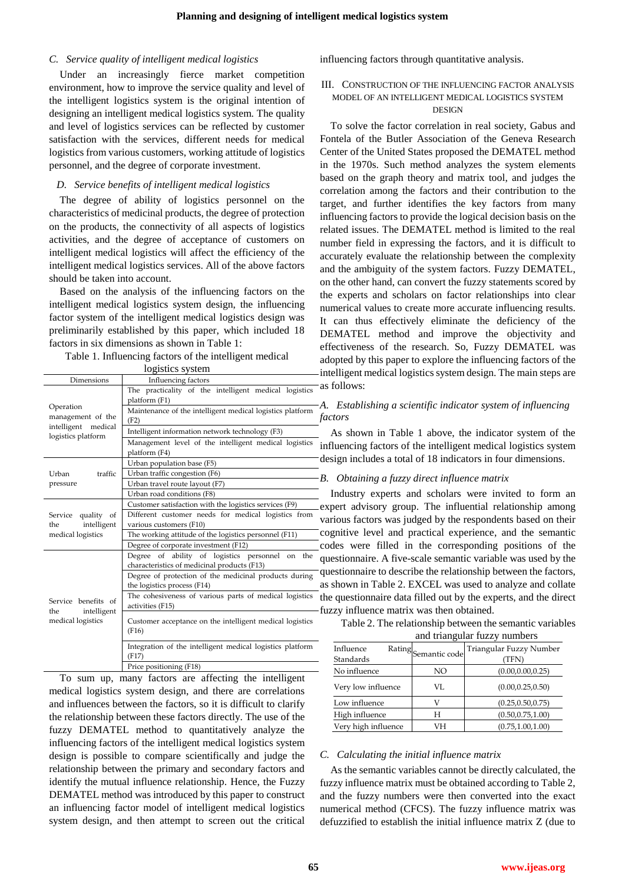# *C. Service quality of intelligent medical logistics*

Under an increasingly fierce market competition environment, how to improve the service quality and level of the intelligent logistics system is the original intention of designing an intelligent medical logistics system. The quality and level of logistics services can be reflected by customer satisfaction with the services, different needs for medical logistics from various customers, working attitude of logistics personnel, and the degree of corporate investment.

#### *D. Service benefits of intelligent medical logistics*

The degree of ability of logistics personnel on the characteristics of medicinal products, the degree of protection on the products, the connectivity of all aspects of logistics activities, and the degree of acceptance of customers on intelligent medical logistics will affect the efficiency of the intelligent medical logistics services. All of the above factors should be taken into account.

Based on the analysis of the influencing factors on the intelligent medical logistics system design, the influencing factor system of the intelligent medical logistics design was preliminarily established by this paper, which included 18 factors in six dimensions as shown in Table 1:

Table 1. Influencing factors of the intelligent medical

| logistics system                                      |                                                                                                      |  |  |  |  |  |  |  |  |
|-------------------------------------------------------|------------------------------------------------------------------------------------------------------|--|--|--|--|--|--|--|--|
| Dimensions                                            | Influencing factors                                                                                  |  |  |  |  |  |  |  |  |
|                                                       | The practicality of the intelligent medical logistics<br>platform (F1)                               |  |  |  |  |  |  |  |  |
| Operation<br>management of the<br>intelligent medical | Maintenance of the intelligent medical logistics platform<br>(F2)                                    |  |  |  |  |  |  |  |  |
| logistics platform                                    | Intelligent information network technology (F3)                                                      |  |  |  |  |  |  |  |  |
|                                                       | Management level of the intelligent medical logistics<br>platform (F4)                               |  |  |  |  |  |  |  |  |
|                                                       | Urban population base (F5)                                                                           |  |  |  |  |  |  |  |  |
| traffic<br>Urban                                      | Urban traffic congestion (F6)                                                                        |  |  |  |  |  |  |  |  |
| pressure                                              | Urban travel route layout (F7)                                                                       |  |  |  |  |  |  |  |  |
|                                                       | Urban road conditions (F8)                                                                           |  |  |  |  |  |  |  |  |
|                                                       | Customer satisfaction with the logistics services (F9)                                               |  |  |  |  |  |  |  |  |
| Service quality of                                    | Different customer needs for medical logistics from                                                  |  |  |  |  |  |  |  |  |
| intelligent<br>the                                    | various customers (F10)                                                                              |  |  |  |  |  |  |  |  |
| medical logistics                                     | The working attitude of the logistics personnel (F11)                                                |  |  |  |  |  |  |  |  |
|                                                       | Degree of corporate investment (F12)                                                                 |  |  |  |  |  |  |  |  |
|                                                       | Degree of ability of logistics personnel<br>the<br>on<br>characteristics of medicinal products (F13) |  |  |  |  |  |  |  |  |
|                                                       | Degree of protection of the medicinal products during<br>the logistics process (F14)                 |  |  |  |  |  |  |  |  |
| Service benefits of<br>intelligent<br>the             | The cohesiveness of various parts of medical logistics<br>activities (F15)                           |  |  |  |  |  |  |  |  |
| medical logistics                                     | Customer acceptance on the intelligent medical logistics<br>(F16)                                    |  |  |  |  |  |  |  |  |
|                                                       | Integration of the intelligent medical logistics platform<br>(F17)                                   |  |  |  |  |  |  |  |  |
|                                                       | Price positioning (F18)                                                                              |  |  |  |  |  |  |  |  |

To sum up, many factors are affecting the intelligent medical logistics system design, and there are correlations and influences between the factors, so it is difficult to clarify the relationship between these factors directly. The use of the fuzzy DEMATEL method to quantitatively analyze the influencing factors of the intelligent medical logistics system design is possible to compare scientifically and judge the relationship between the primary and secondary factors and identify the mutual influence relationship. Hence, the Fuzzy DEMATEL method was introduced by this paper to construct an influencing factor model of intelligent medical logistics system design, and then attempt to screen out the critical influencing factors through quantitative analysis.

## III. CONSTRUCTION OF THE INFLUENCING FACTOR ANALYSIS MODEL OF AN INTELLIGENT MEDICAL LOGISTICS SYSTEM DESIGN

To solve the factor correlation in real society, Gabus and Fontela of the Butler Association of the Geneva Research Center of the United States proposed the DEMATEL method in the 1970s. Such method analyzes the system elements based on the graph theory and matrix tool, and judges the correlation among the factors and their contribution to the target, and further identifies the key factors from many influencing factors to provide the logical decision basis on the related issues. The DEMATEL method is limited to the real number field in expressing the factors, and it is difficult to accurately evaluate the relationship between the complexity and the ambiguity of the system factors. Fuzzy DEMATEL, on the other hand, can convert the fuzzy statements scored by the experts and scholars on factor relationships into clear numerical values to create more accurate influencing results. It can thus effectively eliminate the deficiency of the DEMATEL method and improve the objectivity and effectiveness of the research. So, Fuzzy DEMATEL was adopted by this paper to explore the influencing factors of the intelligent medical logistics system design. The main steps are as follows:

# *A. Establishing a scientific indicator system of influencing factors*

As shown in Table 1 above, the indicator system of the influencing factors of the intelligent medical logistics system design includes a total of 18 indicators in four dimensions.

## *B. Obtaining a fuzzy direct influence matrix*

Industry experts and scholars were invited to form an expert advisory group. The influential relationship among various factors was judged by the respondents based on their cognitive level and practical experience, and the semantic codes were filled in the corresponding positions of the questionnaire. A five-scale semantic variable was used by the questionnaire to describe the relationship between the factors, as shown in Table 2. EXCEL was used to analyze and collate the questionnaire data filled out by the experts, and the direct fuzzy influence matrix was then obtained.

Table 2. The relationship between the semantic variables and triangular fuzzy numbers

| Influence<br>Standards | Rating<br>Semantic code | Triangular Fuzzy Number<br>'TFN |
|------------------------|-------------------------|---------------------------------|
| No influence           | NO                      | (0.00, 0.00, 0.25)              |
| Very low influence     | VL                      | (0.00, 0.25, 0.50)              |
| Low influence          |                         | (0.25, 0.50, 0.75)              |
| High influence         | H                       | (0.50, 0.75, 1.00)              |
| Very high influence    | VН                      | (0.75, 1.00, 1.00)              |

#### *C. Calculating the initial influence matrix*

As the semantic variables cannot be directly calculated, the fuzzy influence matrix must be obtained according to Table 2, and the fuzzy numbers were then converted into the exact numerical method (CFCS). The fuzzy influence matrix was defuzzified to establish the initial influence matrix Z (due to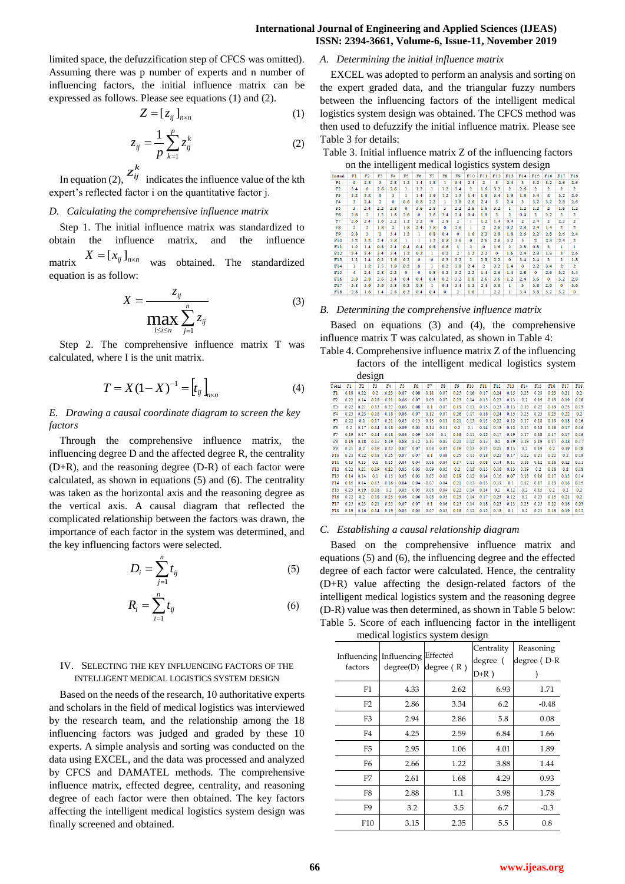## **International Journal of Engineering and Applied Sciences (IJEAS) ISSN: 2394-3661, Volume-6, Issue-11, November 2019**

limited space, the defuzzification step of CFCS was omitted). Assuming there was p number of experts and n number of influencing factors, the initial influence matrix can be expressed as follows. Please see equations (1) and (2).

$$
Z = [z_{ij}]_{n \times n} \tag{1}
$$

$$
z_{ij} = \frac{1}{p} \sum_{k=1}^{p} z_{ij}^{k}
$$
 (2)

In equation (2),  $z_{ij}^k$  indicates the influence value of the kth expert's reflected factor i on the quantitative factor j.

#### *D. Calculating the comprehensive influence matrix*

Step 1. The initial influence matrix was standardized to obtain the influence matrix, and the influence matrix  $X = [x_{ij}]_{n \times n}$ was obtained. The standardized equation is as follow:

$$
X = \frac{z_{ij}}{\max_{1 \le i \le n} \sum_{j=1}^{n} z_{ij}}
$$
(3)

Step 2. The comprehensive influence matrix T was calculated, where I is the unit matrix.

$$
T = X(1 - X)^{-1} = [t_{ij}]_{n \times n}
$$
 (4)

# *E. Drawing a causal coordinate diagram to screen the key factors*

Through the comprehensive influence matrix, the influencing degree D and the affected degree R, the centrality (D+R), and the reasoning degree (D-R) of each factor were calculated, as shown in equations (5) and (6). The centrality was taken as the horizontal axis and the reasoning degree as the vertical axis. A causal diagram that reflected the complicated relationship between the factors was drawn, the importance of each factor in the system was determined, and the key influencing factors were selected.

$$
D_i = \sum_{j=1}^n t_{ij} \tag{5}
$$

$$
R_i = \sum_{i=1}^n t_{ij} \tag{6}
$$

#### IV. SELECTING THE KEY INFLUENCING FACTORS OF THE INTELLIGENT MEDICAL LOGISTICS SYSTEM DESIGN

Based on the needs of the research, 10 authoritative experts and scholars in the field of medical logistics was interviewed by the research team, and the relationship among the 18 influencing factors was judged and graded by these 10 experts. A simple analysis and sorting was conducted on the data using EXCEL, and the data was processed and analyzed by CFCS and DAMATEL methods. The comprehensive influence matrix, effected degree, centrality, and reasoning degree of each factor were then obtained. The key factors affecting the intelligent medical logistics system design was finally screened and obtained.

# *A. Determining the initial influence matrix*

EXCEL was adopted to perform an analysis and sorting on the expert graded data, and the triangular fuzzy numbers between the influencing factors of the intelligent medical logistics system design was obtained. The CFCS method was then used to defuzzify the initial influence matrix. Please see Table 3 for details:

Table 3. Initial influence matrix Z of the influencing factors on the intelligent medical logistics system design

|                 | on the interrigent metrical logistics system design |                         |                |                |           |         |     |         |                         |                         |           |                         |                         |     |                         |                         |                         |                  |
|-----------------|-----------------------------------------------------|-------------------------|----------------|----------------|-----------|---------|-----|---------|-------------------------|-------------------------|-----------|-------------------------|-------------------------|-----|-------------------------|-------------------------|-------------------------|------------------|
| Initial         | Fl                                                  | F2                      | F3             | F4             | F5        | F6      | F7  | F8      | F9                      | F10                     | F11       | F12                     | F13                     | F14 | F15                     | F16                     | F17                     | F <sub>1</sub> s |
| Fl              | ٥                                                   | 2.8                     | 3              | 2.8            | 1.2       | 1.4     | 1.8 | ı       | 3.4                     | 2.4                     | 2         | 3                       | 2.4                     | з   | 3.2                     | 3.2                     | 2.6                     | 2.6              |
| F2              | 3.4                                                 | $\Omega$                | 2.6            | 2.6            | ı         | 1.2     | ı   | 1.2     | 3.4                     | $\overline{\mathbf{2}}$ | 1.6       | 3.2                     | $\overline{\mathbf{2}}$ | 2.6 | $\overline{\mathbf{2}}$ | $\overline{\mathbf{2}}$ | $\overline{\mathbf{2}}$ | $\overline{a}$   |
| F3              | 3.2                                                 | 3.2                     | ٥              | з              | ı         | 1.4     | 1.6 | 1.2     | 1.3                     | 1.4                     | 1.8       | 3.4                     | 1.6                     | 1.8 | 3.4                     | 2                       | 3.2                     | 2.6              |
| F <sub>4</sub>  | 3                                                   | 2.4                     | $\overline{2}$ | $\bullet$      | 0.6       | 0.8     | 2.2 | ı       | 3.8                     | 2.6                     | 2.4       | 3                       | 2.4                     | 3   | 3.2                     | 3.2                     | 2.8                     | 2.6              |
| F5              | R                                                   | 2.4                     | 2.2            | 2.8            | $\bullet$ | 3.6     | 2.8 | 3       | 2.2                     | 2.6                     | 1.6       | 3.2                     | ı                       | 1.2 | 1.2                     | $\overline{a}$          | 1.6                     | 1.2              |
| F6              | 2.6                                                 | $\overline{\mathbf{2}}$ | 1.2            | 1.8            | 2.6       | ۰       | 3.6 | 3.4     | 2.4                     | 0.4                     | 1.8       | $\overline{\mathbf{2}}$ | $\overline{2}$          | 0.4 | $\overline{\mathbf{2}}$ | 2.2                     | $\overline{\mathbf{2}}$ | 2                |
| F7              | 2.6                                                 | 2.4                     | 1.6            | 2.2            | 1.2       | 2.2     | ٥   | 2.8     | $\overline{2}$          | ı                       | 1.2       | 1.4                     | 0.4                     | 2   | 2.4                     | $\overline{2}$          | 2.2                     | $\overline{2}$   |
| F8              | $\overline{2}$                                      | $\overline{2}$          | 1.8            | $\overline{2}$ | 1.8       | 2.4     | 3.8 | $\circ$ | 2.6                     | ı                       | 2         | 2.6                     | 0.2                     | 2.8 | 2.4                     | 1.4                     | 2                       | $\overline{a}$   |
| F9              | 2.8                                                 | 3                       | 2              | 3.4            | 1.2       | ı       | 0.8 | 0.4     | $\circ$                 | 1.6                     | 2.2       | 2.8                     | 1.8                     | 2.6 | 2.2                     | 2.8                     | 2.6                     | 2.4              |
| F10             | 3.2                                                 | 3.2                     | 2.4            | 3.8            | ı         | ı       | 1.2 | 0.8     | 3.6                     | ٥                       | 2.6       | 2.6                     | 3.2                     | з   | $\overline{2}$          | 2.8                     | 2.4                     | 2                |
| F11             | 1.2                                                 | 1.4                     | 0.8            | 2.4            | 0.4       | 0.4     | 0.8 | 0.6     | 3                       | $\overline{a}$          | $\bullet$ | 1.6                     | $\overline{2}$          | 2.8 | 0.8                     | 3                       | ı                       | ٠                |
| F12             | 3.4                                                 | 3.4                     | 3.4            | 3.4            | 1.2       | 0.2     | ı   | 0.2     | $\overline{2}$          | 1.2                     | 2.2       | ٥                       | 1.6                     | 2.4 | 2.8                     | 1.8                     | 3                       | 2.6              |
| F13             | 1.2                                                 | 1.4                     | 0.2            | 1.6            | 0.2       | ۰       | ٥   | 0.3     | 3.2                     | 2                       | 2.8       | 2.2                     | $\bullet$               | 3.4 | 2.4                     | 3                       | $\overline{2}$          | 1.8              |
| F14             | 1                                                   | 1.2                     | 1.5            | 1.8            | 0.2       | $\circ$ | ı   | 0.2     | 3.8                     | 2.4                     | 2         | 3.2                     | 1.4                     | ۰   | 2.2                     | 3.4                     | $\overline{2}$          | $\overline{2}$   |
| F <sub>15</sub> | 4                                                   | 2.4                     | 2.8            | 2.2            | $\Omega$  | ۰       | 0.8 | 0.2     | 3.2                     | 2.2                     | 1.4       | 2.6                     | 1.4                     | 2.8 | ۰                       | 2.6                     | 3.2                     | 3.4              |
| F16             | 2.8                                                 | 2.8                     | 2.6            | 3.4            | 0.4       | 0.4     | 0.4 | 0.2     | 3.2                     | 1.8                     | 2.6       | 3.6                     | 1.2                     | 2.4 | 3.6                     | ۰                       | 3.2                     | 2.8              |
| F17             | 3.8                                                 | 3.6                     | 3.6            | 3.8            | 0.2       | 0.8     | ı   | 0.4     | 3.4                     | 1.2                     | 2.4       | 3.6                     | ı                       | 3   | 3.8                     | 2.6                     | $\circ$                 | 3.6              |
| F18             | 2.8                                                 | 1.6                     | 1.4            | 2.8            | 0.2       | 0.4     | 0.4 | ۰       | $\overline{\mathbf{2}}$ | 1.6                     | ı         | 2.2                     | ı                       | 3.4 | 3.8                     | 3.2                     | 3.2                     | ۰                |

#### *B. Determining the comprehensive influence matrix*

Based on equations (3) and (4), the comprehensive influence matrix T was calculated, as shown in Table 4: Table 4. Comprehensive influence matrix Z of the influencing

factors of the intelligent medical logistics system design

|                 |      |      | $rac{1}{2}$ |      |      |      |      |      |      |      |      |      |      |      |      |      |      |      |
|-----------------|------|------|-------------|------|------|------|------|------|------|------|------|------|------|------|------|------|------|------|
| Total           | Fl   | F2   | F3          | F4   | F5   | F6   | F7   | F8   | F9   | F10  | F11  | F12  | F13  | F14  | F15  | F16  | F17  | F18  |
| F1              | 0.18 | 0.22 | 0.2         | 0.23 | 0.07 | 0.08 | 0.11 | 0.07 | 0.25 | 0.16 | 0.17 | 0.24 | 0.15 | 0.23 | 0.23 | 0.23 | 0.21 | 0.2  |
| F2              | 0.22 | 0.14 | 0.18        | 0.21 | 0.06 | 0.07 | 0.09 | 0.07 | 0.23 | 0.14 | 0.15 | 0.22 | 0.13 | 0.2  | 0.19 | 0.19 | 0.19 | 0.18 |
| F3              | 0.22 | 0.21 | 0.13        | 0.22 | 0.06 | 0.08 | 0.1  | 0.07 | 0.19 | 0.13 | 0.15 | 0.23 | 0.13 | 0.19 | 0.22 | 0.19 | 0.23 | 0.19 |
| F4              | 0.23 | 0.23 | 0.18        | 0.18 | 0.06 | 0.07 | 0.12 | 0.07 | 0.26 | 0.17 | 0.18 | 0.24 | 0.15 | 0.23 | 0.23 | 0.23 | 0.22 | 0.2  |
| F5              | 0.22 | 0.2  | 0.17        | 0.21 | 0.05 | 0.13 | 0.13 | 0.11 | 0.21 | 0.15 | 0.15 | 0.22 | 0.12 | 0.17 | 0.18 | 0.19 | 0.18 | 0.16 |
| F6              | 0.2  | 0.17 | 0.14        | 0.18 | 0.09 | 0.05 | 0.14 | 0.11 | 0.2  | 0.1  | 0.14 | 0.18 | 0.12 | 0.15 | 0.18 | 0.18 | 0.17 | 0.16 |
| F7              | 0.19 | 0.17 | 0.14        | 0.18 | 0.06 | 0.09 | 0.06 | 0.1  | 0.18 | 0.11 | 0.12 | 0.17 | 0.19 | 0.17 | 0.18 | 0.17 | 0.17 | 0.16 |
| F8              | 0.19 | 0.18 | 0.15        | 0.19 | 0.08 | 0.12 | 0.15 | 0.05 | 0.21 | 0.12 | 0.15 | 0.2  | 0.19 | 0.19 | 0.19 | 0.17 | 0.18 | 0.17 |
| F9              | 0.21 | 0.2  | 0.16        | 0.22 | 0.07 | 0.07 | 0.08 | 0.05 | 0.16 | 0.13 | 0.15 | 0.21 | 0.13 | 0.2  | 0.19 | 0.2  | 0.19 | 0.18 |
| F10             | 0.23 | 0.22 | 0.18        | 0.25 | 0.07 | 0.07 | 0.1  | 0.06 | 0.25 | 0.11 | 0.18 | 0.22 | 0.17 | 0.22 | 0.21 | 0.22 | 0.2  | 0.19 |
| F11             | 0.13 | 0.13 | 0.1         | 0.15 | 0.04 | 0.04 | 0.06 | 0.04 | 0.17 | 0.11 | 0.08 | 0.14 | 0.11 | 0.16 | 0.12 | 0.16 | 0.12 | 0.11 |
| F12             | 0.22 | 0.21 | 0.19        | 0.22 | 0.05 | 0.05 | 0.09 | 0.05 | 0.2  | 0.13 | 0.15 | 0.16 | 0.13 | 0.19 | 0.2  | 0.18 | 0.2  | 0.18 |
| F13             | 0.14 | 0.14 | 0.1         | 0.15 | 0.03 | 0.03 | 0.05 | 0.03 | 0.19 | 0.12 | 0.14 | 0.16 | 0.07 | 0.18 | 0.16 | 0.17 | 0.15 | 0.14 |
| F14             | 0.15 | 0.14 | 0.13        | 0.16 | 0.04 | 0.04 | 0.07 | 0.04 | 0.21 | 0.13 | 0.13 | 0.19 | 0.1  | 0.12 | 0.17 | 0.19 | 0.16 | 0.15 |
| F <sub>15</sub> | 0.23 | 0.19 | 0.18        | 0.2  | 0.05 | 0.05 | 0.08 | 0.04 | 0.22 | 0.14 | 0.14 | 0.2  | 0.12 | 0.2  | 0.15 | 0.2  | 0.2  | 0.2  |
| F16             | 0.22 | 0.2  | 0.18        | 0.23 | 0.06 | 0.06 | 0.08 | 0.05 | 0.23 | 0.14 | 0.17 | 0.23 | 0.12 | 0.2  | 0.23 | 0.15 | 0.21 | 0.2  |
| F17             | 0.25 | 0.23 | 0.21        | 0.25 | 0.07 | 0.07 | 0.1  | 0.06 | 0.25 | 0.14 | 0.18 | 0.25 | 0.13 | 0.23 | 0.25 | 0.22 | 0.16 | 0.23 |
| F18             | 0.19 | 0.16 | 0.14        | 0.19 | 0.05 | 0.05 | 0.07 | 0.03 | 0.18 | 0.12 | 0.12 | 0.18 | 0.1  | 0.2  | 0.21 | 0.19 | 0.19 | 0.12 |

#### *C. Establishing a causal relationship diagram*

Based on the comprehensive influence matrix and equations (5) and (6), the influencing degree and the effected degree of each factor were calculated. Hence, the centrality (D+R) value affecting the design-related factors of the intelligent medical logistics system and the reasoning degree (D-R) value was then determined, as shown in Table 5 below: Table 5. Score of each influencing factor in the intelligent

|                | o                                             |              |                                   |                          |
|----------------|-----------------------------------------------|--------------|-----------------------------------|--------------------------|
| factors        | Influencing Influencing Effected<br>degree(D) | degree $(R)$ | Centrality<br>degree (<br>$D+R$ ) | Reasoning<br>degree (D-R |
| F1             | 4.33                                          | 2.62         | 6.93                              | 1.71                     |
| F <sub>2</sub> | 2.86                                          | 3.34         | 6.2                               | $-0.48$                  |
| F3             | 2.94                                          | 2.86         | 5.8                               | 0.08                     |
| F4             | 4.25                                          | 2.59         | 6.84                              | 1.66                     |
| F5             | 2.95                                          | 1.06         | 4.01                              | 1.89                     |
| F6             | 2.66                                          | 1.22         | 3.88                              | 1.44                     |
| F7             | 2.61                                          | 1.68         | 4.29                              | 0.93                     |
| F8             | 2.88                                          | 1.1          | 3.98                              | 1.78                     |
| F9             | 3.2                                           | 3.5          | 6.7                               | $-0.3$                   |
| F10            | 3.15                                          | 2.35         | 5.5                               | 0.8                      |

medical logistics system design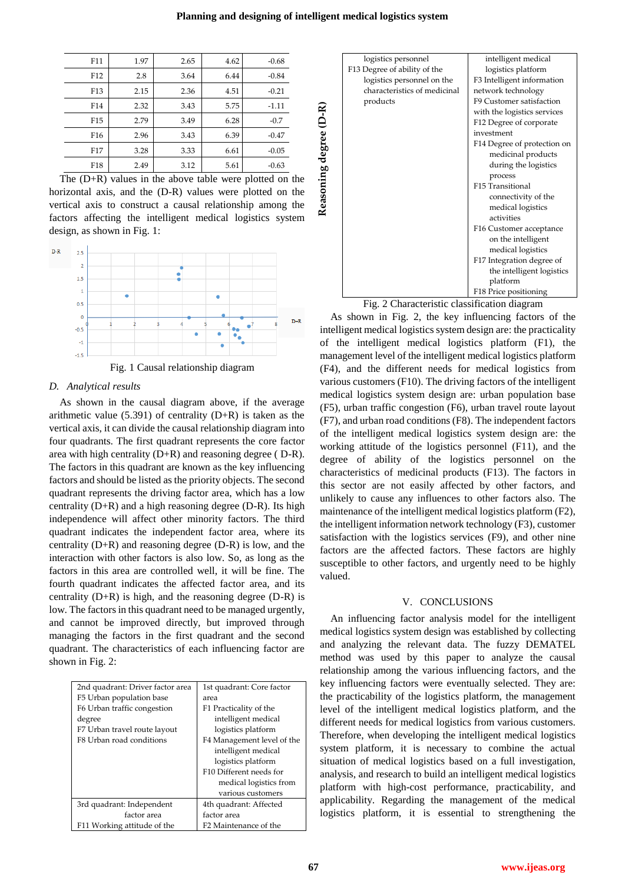| Planning and designing of intelligent medical logistics system |  |  |  |
|----------------------------------------------------------------|--|--|--|
|                                                                |  |  |  |

| F11             | 1.97 | 2.65 | 4.62 | $-0.68$ |
|-----------------|------|------|------|---------|
| F <sub>12</sub> | 2.8  | 3.64 | 6.44 | $-0.84$ |
| F13             | 2.15 | 2.36 | 4.51 | $-0.21$ |
| F14             | 2.32 | 3.43 | 5.75 | $-1.11$ |
| F <sub>15</sub> | 2.79 | 3.49 | 6.28 | $-0.7$  |
| F <sub>16</sub> | 2.96 | 3.43 | 6.39 | $-0.47$ |
| F <sub>17</sub> | 3.28 | 3.33 | 6.61 | $-0.05$ |
| F18             | 2.49 | 3.12 | 5.61 | $-0.63$ |

The (D+R) values in the above table were plotted on the horizontal axis, and the (D-R) values were plotted on the vertical axis to construct a causal relationship among the factors affecting the intelligent medical logistics system design, as shown in Fig. 1:



# *D. Analytical results*

As shown in the causal diagram above, if the average arithmetic value  $(5.391)$  of centrality  $(D+R)$  is taken as the vertical axis, it can divide the causal relationship diagram into four quadrants. The first quadrant represents the core factor area with high centrality (D+R) and reasoning degree ( D-R). The factors in this quadrant are known as the key influencing factors and should be listed as the priority objects. The second quadrant represents the driving factor area, which has a low centrality (D+R) and a high reasoning degree (D-R). Its high independence will affect other minority factors. The third quadrant indicates the independent factor area, where its centrality (D+R) and reasoning degree (D-R) is low, and the interaction with other factors is also low. So, as long as the factors in this area are controlled well, it will be fine. The fourth quadrant indicates the affected factor area, and its centrality (D+R) is high, and the reasoning degree (D-R) is low. The factors in this quadrant need to be managed urgently, and cannot be improved directly, but improved through managing the factors in the first quadrant and the second quadrant. The characteristics of each influencing factor are shown in Fig. 2:

| 2nd quadrant: Driver factor area | 1st quadrant: Core factor  |
|----------------------------------|----------------------------|
| F5 Urban population base         | area                       |
| F6 Urban traffic congestion      | F1 Practicality of the     |
| degree                           | intelligent medical        |
| F7 Urban travel route layout     | logistics platform         |
| F8 Urban road conditions         | F4 Management level of the |
|                                  | intelligent medical        |
|                                  | logistics platform         |
|                                  | F10 Different needs for    |
|                                  | medical logistics from     |
|                                  | various customers          |
| 3rd quadrant: Independent        | 4th quadrant: Affected     |
| factor area                      | factor area                |
| F11 Working attitude of the      | F2 Maintenance of the      |

|                        | logistics personnel          | intelligent medical         |
|------------------------|------------------------------|-----------------------------|
|                        | F13 Degree of ability of the | logistics platform          |
|                        | logistics personnel on the   | F3 Intelligent information  |
|                        | characteristics of medicinal | network technology          |
|                        | products                     | F9 Customer satisfaction    |
|                        |                              | with the logistics services |
|                        |                              | F12 Degree of corporate     |
|                        |                              | investment                  |
| Keasoning degree (D-K) |                              | F14 Degree of protection on |
|                        |                              | medicinal products          |
|                        |                              | during the logistics        |
|                        |                              | process                     |
|                        |                              | F15 Transitional            |
|                        |                              | connectivity of the         |
|                        |                              | medical logistics           |
|                        |                              | activities                  |
|                        |                              | F16 Customer acceptance     |
|                        |                              | on the intelligent          |
|                        |                              | medical logistics           |
|                        |                              | F17 Integration degree of   |
|                        |                              | the intelligent logistics   |
|                        |                              | platform                    |
|                        |                              | F18 Price positioning       |

Fig. 2 Characteristic classification diagram

As shown in Fig. 2, the key influencing factors of the intelligent medical logistics system design are: the practicality of the intelligent medical logistics platform (F1), the management level of the intelligent medical logistics platform (F4), and the different needs for medical logistics from various customers (F10). The driving factors of the intelligent medical logistics system design are: urban population base (F5), urban traffic congestion (F6), urban travel route layout (F7), and urban road conditions (F8). The independent factors of the intelligent medical logistics system design are: the working attitude of the logistics personnel (F11), and the degree of ability of the logistics personnel on the characteristics of medicinal products (F13). The factors in this sector are not easily affected by other factors, and unlikely to cause any influences to other factors also. The maintenance of the intelligent medical logistics platform (F2), the intelligent information network technology (F3), customer satisfaction with the logistics services (F9), and other nine factors are the affected factors. These factors are highly susceptible to other factors, and urgently need to be highly valued. Fig. 2<br>
The constrained the platform of the properties and the strength of the strength of the strength of the strengthening to the metalligent process of the metalligent process of the metalligent and process of the metal

## V. CONCLUSIONS

An influencing factor analysis model for the intelligent medical logistics system design was established by collecting and analyzing the relevant data. The fuzzy DEMATEL method was used by this paper to analyze the causal relationship among the various influencing factors, and the key influencing factors were eventually selected. They are: the practicability of the logistics platform, the management level of the intelligent medical logistics platform, and the different needs for medical logistics from various customers. Therefore, when developing the intelligent medical logistics system platform, it is necessary to combine the actual situation of medical logistics based on a full investigation, analysis, and research to build an intelligent medical logistics platform with high-cost performance, practicability, and applicability. Regarding the management of the medical